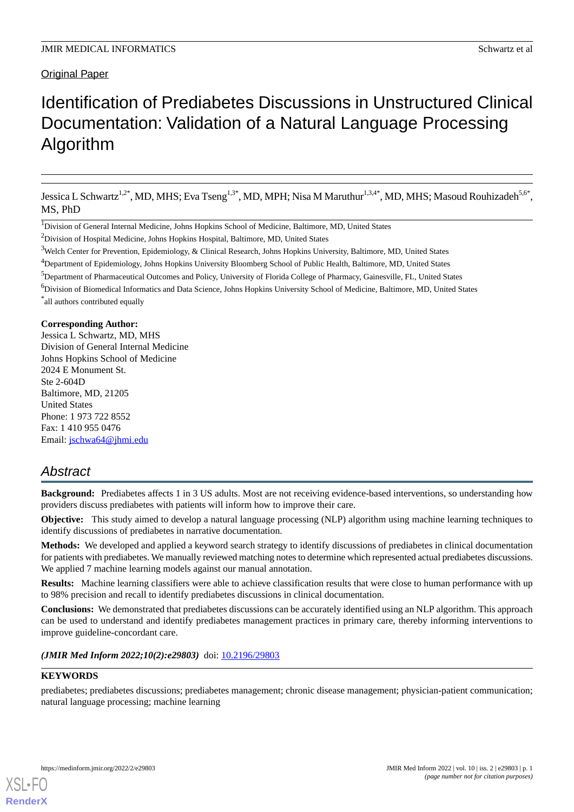# Original Paper

# Identification of Prediabetes Discussions in Unstructured Clinical Documentation: Validation of a Natural Language Processing Algorithm

Jessica L Schwartz<sup>1,2\*</sup>, MD, MHS; Eva Tseng<sup>1,3\*</sup>, MD, MPH; Nisa M Maruthur<sup>1,3,4\*</sup>, MD, MHS; Masoud Rouhizadeh<sup>5,6\*</sup>, MS, PhD

<sup>2</sup>Division of Hospital Medicine, Johns Hopkins Hospital, Baltimore, MD, United States

<sup>5</sup>Department of Pharmaceutical Outcomes and Policy, University of Florida College of Pharmacy, Gainesville, FL, United States

### **Corresponding Author:**

Jessica L Schwartz, MD, MHS Division of General Internal Medicine Johns Hopkins School of Medicine 2024 E Monument St. Ste 2-604D Baltimore, MD, 21205 United States Phone: 1 973 722 8552 Fax: 1 410 955 0476 Email: [jschwa64@jhmi.edu](mailto:jschwa64@jhmi.edu)

# *Abstract*

**Background:** Prediabetes affects 1 in 3 US adults. Most are not receiving evidence-based interventions, so understanding how providers discuss prediabetes with patients will inform how to improve their care.

**Objective:** This study aimed to develop a natural language processing (NLP) algorithm using machine learning techniques to identify discussions of prediabetes in narrative documentation.

**Methods:** We developed and applied a keyword search strategy to identify discussions of prediabetes in clinical documentation for patients with prediabetes. We manually reviewed matching notes to determine which represented actual prediabetes discussions. We applied 7 machine learning models against our manual annotation.

**Results:** Machine learning classifiers were able to achieve classification results that were close to human performance with up to 98% precision and recall to identify prediabetes discussions in clinical documentation.

**Conclusions:** We demonstrated that prediabetes discussions can be accurately identified using an NLP algorithm. This approach can be used to understand and identify prediabetes management practices in primary care, thereby informing interventions to improve guideline-concordant care.

### (JMIR Med Inform 2022;10(2):e29803) doi: [10.2196/29803](http://dx.doi.org/10.2196/29803)

### **KEYWORDS**

[XSL](http://www.w3.org/Style/XSL)•FO **[RenderX](http://www.renderx.com/)**

prediabetes; prediabetes discussions; prediabetes management; chronic disease management; physician-patient communication; natural language processing; machine learning

<sup>&</sup>lt;sup>1</sup>Division of General Internal Medicine, Johns Hopkins School of Medicine, Baltimore, MD, United States

<sup>3</sup>Welch Center for Prevention, Epidemiology, & Clinical Research, Johns Hopkins University, Baltimore, MD, United States

<sup>4</sup>Department of Epidemiology, Johns Hopkins University Bloomberg School of Public Health, Baltimore, MD, United States

<sup>6</sup>Division of Biomedical Informatics and Data Science, Johns Hopkins University School of Medicine, Baltimore, MD, United States \* all authors contributed equally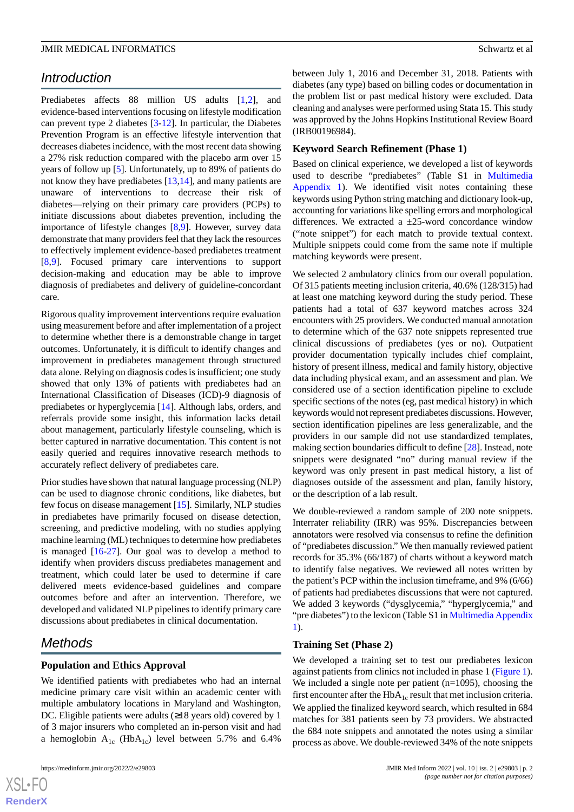# *Introduction*

Prediabetes affects 88 million US adults [[1,](#page-5-0)[2](#page-6-0)], and evidence-based interventions focusing on lifestyle modification can prevent type 2 diabetes [\[3](#page-6-1)-[12\]](#page-6-2). In particular, the Diabetes Prevention Program is an effective lifestyle intervention that decreases diabetes incidence, with the most recent data showing a 27% risk reduction compared with the placebo arm over 15 years of follow up [[5\]](#page-6-3). Unfortunately, up to 89% of patients do not know they have prediabetes [[13](#page-6-4)[,14](#page-6-5)], and many patients are unaware of interventions to decrease their risk of diabetes—relying on their primary care providers (PCPs) to initiate discussions about diabetes prevention, including the importance of lifestyle changes [[8](#page-6-6)[,9](#page-6-7)]. However, survey data demonstrate that many providers feel that they lack the resources to effectively implement evidence-based prediabetes treatment [[8](#page-6-6)[,9](#page-6-7)]. Focused primary care interventions to support decision-making and education may be able to improve diagnosis of prediabetes and delivery of guideline-concordant care.

Rigorous quality improvement interventions require evaluation using measurement before and after implementation of a project to determine whether there is a demonstrable change in target outcomes. Unfortunately, it is difficult to identify changes and improvement in prediabetes management through structured data alone. Relying on diagnosis codes is insufficient; one study showed that only 13% of patients with prediabetes had an International Classification of Diseases (ICD)-9 diagnosis of prediabetes or hyperglycemia [[14\]](#page-6-5). Although labs, orders, and referrals provide some insight, this information lacks detail about management, particularly lifestyle counseling, which is better captured in narrative documentation. This content is not easily queried and requires innovative research methods to accurately reflect delivery of prediabetes care.

Prior studies have shown that natural language processing (NLP) can be used to diagnose chronic conditions, like diabetes, but few focus on disease management [\[15](#page-6-8)]. Similarly, NLP studies in prediabetes have primarily focused on disease detection, screening, and predictive modeling, with no studies applying machine learning (ML) techniques to determine how prediabetes is managed [[16-](#page-6-9)[27\]](#page-7-0). Our goal was to develop a method to identify when providers discuss prediabetes management and treatment, which could later be used to determine if care delivered meets evidence-based guidelines and compare outcomes before and after an intervention. Therefore, we developed and validated NLP pipelines to identify primary care discussions about prediabetes in clinical documentation.

# *Methods*

# **Population and Ethics Approval**

We identified patients with prediabetes who had an internal medicine primary care visit within an academic center with multiple ambulatory locations in Maryland and Washington, DC. Eligible patients were adults (≥18 years old) covered by 1 of 3 major insurers who completed an in-person visit and had a hemoglobin  $A_{1c}$  (Hb $A_{1c}$ ) level between 5.7% and 6.4%

between July 1, 2016 and December 31, 2018. Patients with diabetes (any type) based on billing codes or documentation in the problem list or past medical history were excluded. Data cleaning and analyses were performed using Stata 15. This study was approved by the Johns Hopkins Institutional Review Board (IRB00196984).

### **Keyword Search Refinement (Phase 1)**

Based on clinical experience, we developed a list of keywords used to describe "prediabetes" (Table S1 in [Multimedia](#page-5-1) [Appendix 1\)](#page-5-1). We identified visit notes containing these keywords using Python string matching and dictionary look-up, accounting for variations like spelling errors and morphological differences. We extracted a  $\pm 25$ -word concordance window ("note snippet") for each match to provide textual context. Multiple snippets could come from the same note if multiple matching keywords were present.

We selected 2 ambulatory clinics from our overall population. Of 315 patients meeting inclusion criteria, 40.6% (128/315) had at least one matching keyword during the study period. These patients had a total of 637 keyword matches across 324 encounters with 25 providers. We conducted manual annotation to determine which of the 637 note snippets represented true clinical discussions of prediabetes (yes or no). Outpatient provider documentation typically includes chief complaint, history of present illness, medical and family history, objective data including physical exam, and an assessment and plan. We considered use of a section identification pipeline to exclude specific sections of the notes (eg, past medical history) in which keywords would not represent prediabetes discussions. However, section identification pipelines are less generalizable, and the providers in our sample did not use standardized templates, making section boundaries difficult to define [[28\]](#page-7-1). Instead, note snippets were designated "no" during manual review if the keyword was only present in past medical history, a list of diagnoses outside of the assessment and plan, family history, or the description of a lab result.

We double-reviewed a random sample of 200 note snippets. Interrater reliability (IRR) was 95%. Discrepancies between annotators were resolved via consensus to refine the definition of "prediabetes discussion." We then manually reviewed patient records for 35.3% (66/187) of charts without a keyword match to identify false negatives. We reviewed all notes written by the patient's PCP within the inclusion timeframe, and 9% (6/66) of patients had prediabetes discussions that were not captured. We added 3 keywords ("dysglycemia," "hyperglycemia," and "pre diabetes") to the lexicon (Table S1 in [Multimedia Appendix](#page-5-1) [1\)](#page-5-1).

#### **Training Set (Phase 2)**

We developed a training set to test our prediabetes lexicon against patients from clinics not included in phase 1 ([Figure 1\)](#page-2-0). We included a single note per patient (n=1095), choosing the first encounter after the  $HbA_{1c}$  result that met inclusion criteria. We applied the finalized keyword search, which resulted in 684 matches for 381 patients seen by 73 providers. We abstracted the 684 note snippets and annotated the notes using a similar process as above. We double-reviewed 34% of the note snippets

```
XSI - F(RenderX
```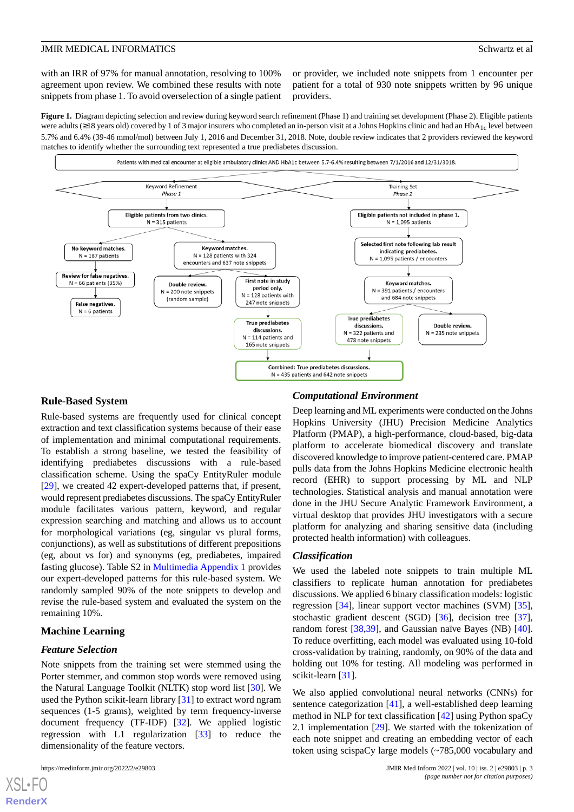with an IRR of 97% for manual annotation, resolving to 100% agreement upon review. We combined these results with note snippets from phase 1. To avoid overselection of a single patient

or provider, we included note snippets from 1 encounter per patient for a total of 930 note snippets written by 96 unique providers.

<span id="page-2-0"></span>**Figure 1.** Diagram depicting selection and review during keyword search refinement (Phase 1) and training set development (Phase 2). Eligible patients were adults ( $\geq$ 18 years old) covered by 1 of 3 major insurers who completed an in-person visit at a Johns Hopkins clinic and had an HbA<sub>1c</sub> level between 5.7% and 6.4% (39-46 mmol/mol) between July 1, 2016 and December 31, 2018. Note, double review indicates that 2 providers reviewed the keyword matches to identify whether the surrounding text represented a true prediabetes discussion.



### **Rule-Based System**

Rule-based systems are frequently used for clinical concept extraction and text classification systems because of their ease of implementation and minimal computational requirements. To establish a strong baseline, we tested the feasibility of identifying prediabetes discussions with a rule-based classification scheme. Using the spaCy EntityRuler module [[29\]](#page-7-2), we created 42 expert-developed patterns that, if present, would represent prediabetes discussions. The spaCy EntityRuler module facilitates various pattern, keyword, and regular expression searching and matching and allows us to account for morphological variations (eg, singular vs plural forms, conjunctions), as well as substitutions of different prepositions (eg, about vs for) and synonyms (eg, prediabetes, impaired fasting glucose). Table S2 in [Multimedia Appendix 1](#page-5-1) provides our expert-developed patterns for this rule-based system. We randomly sampled 90% of the note snippets to develop and revise the rule-based system and evaluated the system on the remaining 10%.

### **Machine Learning**

### *Feature Selection*

Note snippets from the training set were stemmed using the Porter stemmer, and common stop words were removed using the Natural Language Toolkit (NLTK) stop word list [[30\]](#page-7-3). We used the Python scikit-learn library [\[31](#page-7-4)] to extract word ngram sequences (1-5 grams), weighted by term frequency-inverse document frequency (TF-IDF) [\[32](#page-7-5)]. We applied logistic regression with L1 regularization [[33\]](#page-7-6) to reduce the dimensionality of the feature vectors.

### *Computational Environment*

Deep learning and ML experiments were conducted on the Johns Hopkins University (JHU) Precision Medicine Analytics Platform (PMAP), a high-performance, cloud-based, big-data platform to accelerate biomedical discovery and translate discovered knowledge to improve patient-centered care. PMAP pulls data from the Johns Hopkins Medicine electronic health record (EHR) to support processing by ML and NLP technologies. Statistical analysis and manual annotation were done in the JHU Secure Analytic Framework Environment, a virtual desktop that provides JHU investigators with a secure platform for analyzing and sharing sensitive data (including protected health information) with colleagues.

#### *Classification*

We used the labeled note snippets to train multiple ML classifiers to replicate human annotation for prediabetes discussions. We applied 6 binary classification models: logistic regression [[34\]](#page-7-7), linear support vector machines (SVM) [[35\]](#page-7-8), stochastic gradient descent (SGD) [\[36](#page-7-9)], decision tree [[37\]](#page-7-10), random forest [\[38](#page-7-11),[39\]](#page-7-12), and Gaussian naïve Bayes (NB) [[40\]](#page-7-13). To reduce overfitting, each model was evaluated using 10-fold cross-validation by training, randomly, on 90% of the data and holding out 10% for testing. All modeling was performed in scikit-learn [\[31](#page-7-4)].

We also applied convolutional neural networks (CNNs) for sentence categorization [[41\]](#page-7-14), a well-established deep learning method in NLP for text classification [\[42](#page-7-15)] using Python spaCy 2.1 implementation [\[29](#page-7-2)]. We started with the tokenization of each note snippet and creating an embedding vector of each token using scispaCy large models (~785,000 vocabulary and

[XSL](http://www.w3.org/Style/XSL)•FO **[RenderX](http://www.renderx.com/)**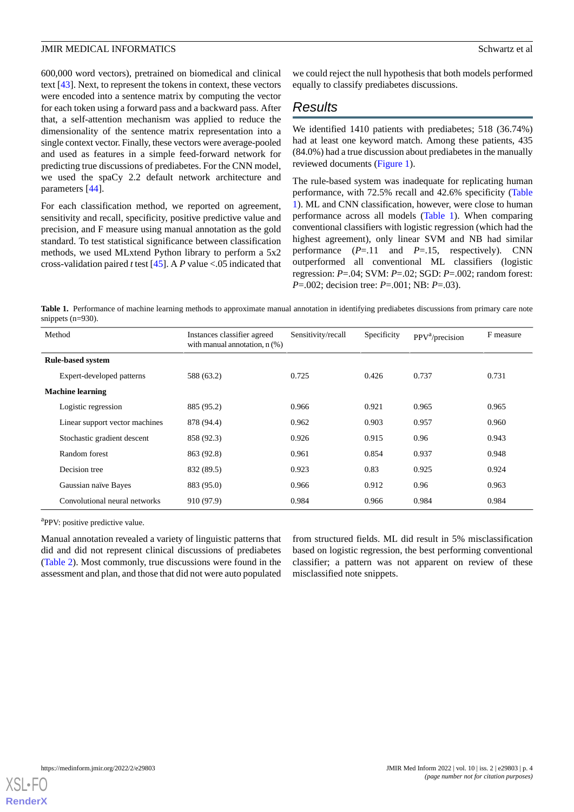600,000 word vectors), pretrained on biomedical and clinical text [[43\]](#page-7-16). Next, to represent the tokens in context, these vectors were encoded into a sentence matrix by computing the vector for each token using a forward pass and a backward pass. After that, a self-attention mechanism was applied to reduce the dimensionality of the sentence matrix representation into a single context vector. Finally, these vectors were average-pooled and used as features in a simple feed-forward network for predicting true discussions of prediabetes. For the CNN model, we used the spaCy 2.2 default network architecture and parameters [\[44](#page-7-17)].

For each classification method, we reported on agreement, sensitivity and recall, specificity, positive predictive value and precision, and F measure using manual annotation as the gold standard. To test statistical significance between classification methods, we used MLxtend Python library to perform a 5x2 cross-validation paired *t*test [\[45](#page-7-18)]. A *P* value <.05 indicated that we could reject the null hypothesis that both models performed equally to classify prediabetes discussions.

# *Results*

We identified 1410 patients with prediabetes; 518 (36.74%) had at least one keyword match. Among these patients, 435 (84.0%) had a true discussion about prediabetes in the manually reviewed documents [\(Figure 1](#page-2-0)).

The rule-based system was inadequate for replicating human performance, with 72.5% recall and 42.6% specificity ([Table](#page-3-0) [1\)](#page-3-0). ML and CNN classification, however, were close to human performance across all models ([Table 1](#page-3-0)). When comparing conventional classifiers with logistic regression (which had the highest agreement), only linear SVM and NB had similar performance (*P*=.11 and *P*=.15, respectively). CNN outperformed all conventional ML classifiers (logistic regression: *P*=.04; SVM: *P*=.02; SGD: *P*=.002; random forest: *P*=.002; decision tree: *P*=.001; NB: *P*=.03).

<span id="page-3-0"></span>Table 1. Performance of machine learning methods to approximate manual annotation in identifying prediabetes discussions from primary care note snippets (n=930).

| Method                         | Instances classifier agreed<br>with manual annotation, $n$ $(\%)$ | Sensitivity/recall | Specificity | PPV <sup>a</sup> /precision | F measure |
|--------------------------------|-------------------------------------------------------------------|--------------------|-------------|-----------------------------|-----------|
| <b>Rule-based system</b>       |                                                                   |                    |             |                             |           |
| Expert-developed patterns      | 588 (63.2)                                                        | 0.725              | 0.426       | 0.737                       | 0.731     |
| <b>Machine learning</b>        |                                                                   |                    |             |                             |           |
| Logistic regression            | 885 (95.2)                                                        | 0.966              | 0.921       | 0.965                       | 0.965     |
| Linear support vector machines | 878 (94.4)                                                        | 0.962              | 0.903       | 0.957                       | 0.960     |
| Stochastic gradient descent    | 858 (92.3)                                                        | 0.926              | 0.915       | 0.96                        | 0.943     |
| Random forest                  | 863 (92.8)                                                        | 0.961              | 0.854       | 0.937                       | 0.948     |
| Decision tree                  | 832 (89.5)                                                        | 0.923              | 0.83        | 0.925                       | 0.924     |
| Gaussian naïve Bayes           | 883 (95.0)                                                        | 0.966              | 0.912       | 0.96                        | 0.963     |
| Convolutional neural networks  | 910 (97.9)                                                        | 0.984              | 0.966       | 0.984                       | 0.984     |

<sup>a</sup>PPV: positive predictive value.

Manual annotation revealed a variety of linguistic patterns that did and did not represent clinical discussions of prediabetes ([Table 2\)](#page-4-0). Most commonly, true discussions were found in the assessment and plan, and those that did not were auto populated

from structured fields. ML did result in 5% misclassification based on logistic regression, the best performing conventional classifier; a pattern was not apparent on review of these misclassified note snippets.

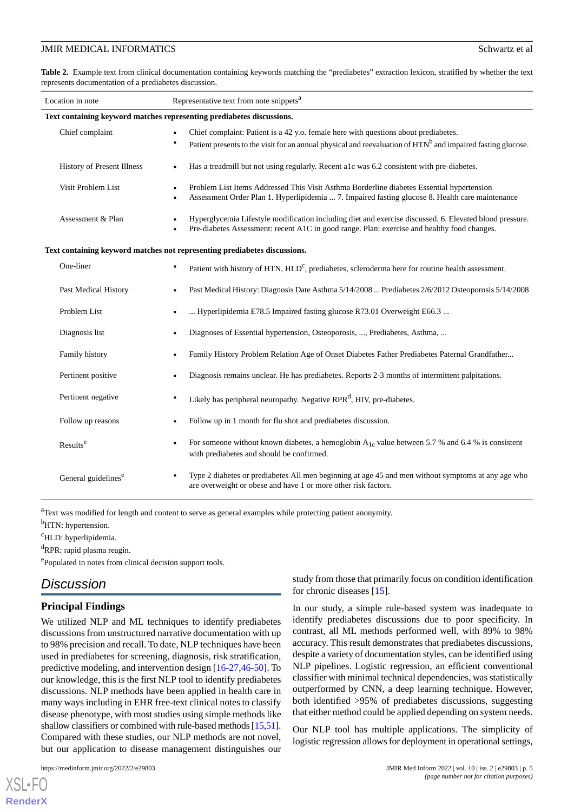<span id="page-4-0"></span>**Table 2.** Example text from clinical documentation containing keywords matching the "prediabetes" extraction lexicon, stratified by whether the text represents documentation of a prediabetes discussion.

| Location in note                                                          | Representative text from note snippets <sup>a</sup>                                                                                                                                                                         |  |  |  |
|---------------------------------------------------------------------------|-----------------------------------------------------------------------------------------------------------------------------------------------------------------------------------------------------------------------------|--|--|--|
| Text containing keyword matches representing prediabetes discussions.     |                                                                                                                                                                                                                             |  |  |  |
| Chief complaint                                                           | Chief complaint: Patient is a 42 y.o. female here with questions about prediabetes.<br>Patient presents to the visit for an annual physical and reevaluation of HTN <sup>b</sup> and impaired fasting glucose.<br>$\bullet$ |  |  |  |
| History of Present Illness                                                | Has a treadmill but not using regularly. Recent alc was 6.2 consistent with pre-diabetes.<br>$\bullet$                                                                                                                      |  |  |  |
| Visit Problem List                                                        | Problem List Items Addressed This Visit Asthma Borderline diabetes Essential hypertension<br>$\bullet$<br>Assessment Order Plan 1. Hyperlipidemia  7. Impaired fasting glucose 8. Health care maintenance                   |  |  |  |
| Assessment & Plan                                                         | Hyperglycemia Lifestyle modification including diet and exercise discussed. 6. Elevated blood pressure.<br>Pre-diabetes Assessment: recent A1C in good range. Plan: exercise and healthy food changes.                      |  |  |  |
| Text containing keyword matches not representing prediabetes discussions. |                                                                                                                                                                                                                             |  |  |  |
| One-liner                                                                 | Patient with history of HTN, HLD <sup>c</sup> , prediabetes, scleroderma here for routine health assessment.<br>٠                                                                                                           |  |  |  |
| Past Medical History                                                      | Past Medical History: Diagnosis Date Asthma 5/14/2008  Prediabetes 2/6/2012 Osteoporosis 5/14/2008                                                                                                                          |  |  |  |
| Problem List                                                              | Hyperlipidemia E78.5 Impaired fasting glucose R73.01 Overweight E66.3                                                                                                                                                       |  |  |  |
| Diagnosis list                                                            | Diagnoses of Essential hypertension, Osteoporosis, , Prediabetes, Asthma,                                                                                                                                                   |  |  |  |
| Family history                                                            | Family History Problem Relation Age of Onset Diabetes Father Prediabetes Paternal Grandfather                                                                                                                               |  |  |  |
| Pertinent positive                                                        | Diagnosis remains unclear. He has prediabetes. Reports 2-3 months of intermittent palpitations.                                                                                                                             |  |  |  |
| Pertinent negative                                                        | Likely has peripheral neuropathy. Negative RPR <sup>d</sup> , HIV, pre-diabetes.<br>٠                                                                                                                                       |  |  |  |
| Follow up reasons                                                         | Follow up in 1 month for flu shot and prediabetes discussion.                                                                                                                                                               |  |  |  |
| Results <sup>e</sup>                                                      | For someone without known diabetes, a hemoglobin $A_{1c}$ value between 5.7 % and 6.4 % is consistent<br>٠<br>with prediabetes and should be confirmed.                                                                     |  |  |  |
| General guidelines <sup>e</sup>                                           | Type 2 diabetes or prediabetes All men beginning at age 45 and men without symptoms at any age who<br>are overweight or obese and have 1 or more other risk factors.                                                        |  |  |  |

<sup>a</sup>Text was modified for length and content to serve as general examples while protecting patient anonymity.

<sup>b</sup>HTN: hypertension.

<sup>c</sup>HLD: hyperlipidemia.

<sup>d</sup>RPR: rapid plasma reagin.

ePopulated in notes from clinical decision support tools.

# *Discussion*

### **Principal Findings**

We utilized NLP and ML techniques to identify prediabetes discussions from unstructured narrative documentation with up to 98% precision and recall. To date, NLP techniques have been used in prediabetes for screening, diagnosis, risk stratification, predictive modeling, and intervention design [\[16](#page-6-9)-[27,](#page-7-0)[46](#page-7-19)-[50\]](#page-8-0). To our knowledge, this is the first NLP tool to identify prediabetes discussions. NLP methods have been applied in health care in many ways including in EHR free-text clinical notes to classify disease phenotype, with most studies using simple methods like shallow classifiers or combined with rule-based methods [\[15](#page-6-8)[,51\]](#page-8-1). Compared with these studies, our NLP methods are not novel, but our application to disease management distinguishes our

[XSL](http://www.w3.org/Style/XSL)•FO **[RenderX](http://www.renderx.com/)**

study from those that primarily focus on condition identification for chronic diseases [[15\]](#page-6-8).

In our study, a simple rule-based system was inadequate to identify prediabetes discussions due to poor specificity. In contrast, all ML methods performed well, with 89% to 98% accuracy. This result demonstrates that prediabetes discussions, despite a variety of documentation styles, can be identified using NLP pipelines. Logistic regression, an efficient conventional classifier with minimal technical dependencies, was statistically outperformed by CNN, a deep learning technique. However, both identified >95% of prediabetes discussions, suggesting that either method could be applied depending on system needs.

Our NLP tool has multiple applications. The simplicity of logistic regression allows for deployment in operational settings,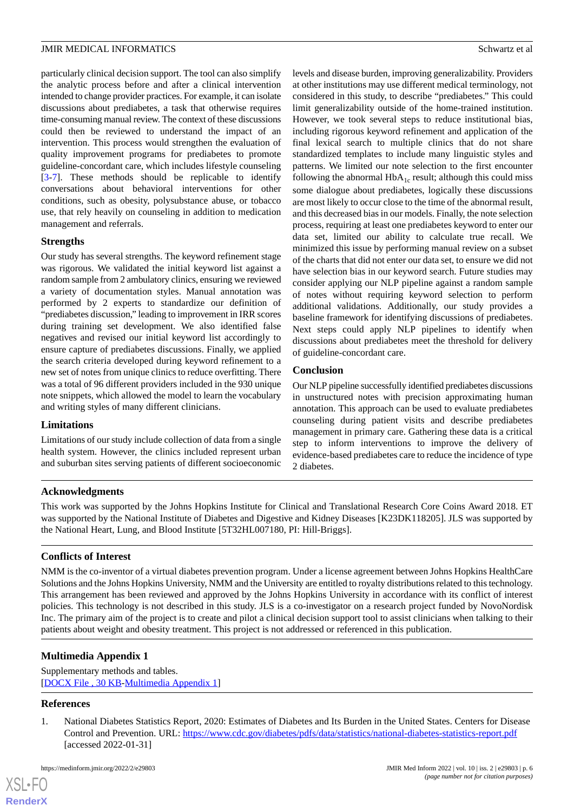particularly clinical decision support. The tool can also simplify the analytic process before and after a clinical intervention intended to change provider practices. For example, it can isolate discussions about prediabetes, a task that otherwise requires time-consuming manual review. The context of these discussions could then be reviewed to understand the impact of an intervention. This process would strengthen the evaluation of quality improvement programs for prediabetes to promote guideline-concordant care, which includes lifestyle counseling [[3](#page-6-1)[-7](#page-6-10)]. These methods should be replicable to identify conversations about behavioral interventions for other conditions, such as obesity, polysubstance abuse, or tobacco use, that rely heavily on counseling in addition to medication management and referrals.

### **Strengths**

Our study has several strengths. The keyword refinement stage was rigorous. We validated the initial keyword list against a random sample from 2 ambulatory clinics, ensuring we reviewed a variety of documentation styles. Manual annotation was performed by 2 experts to standardize our definition of "prediabetes discussion," leading to improvement in IRR scores during training set development. We also identified false negatives and revised our initial keyword list accordingly to ensure capture of prediabetes discussions. Finally, we applied the search criteria developed during keyword refinement to a new set of notes from unique clinics to reduce overfitting. There was a total of 96 different providers included in the 930 unique note snippets, which allowed the model to learn the vocabulary and writing styles of many different clinicians.

### **Limitations**

Limitations of our study include collection of data from a single health system. However, the clinics included represent urban and suburban sites serving patients of different socioeconomic levels and disease burden, improving generalizability. Providers at other institutions may use different medical terminology, not considered in this study, to describe "prediabetes." This could limit generalizability outside of the home-trained institution. However, we took several steps to reduce institutional bias, including rigorous keyword refinement and application of the final lexical search to multiple clinics that do not share standardized templates to include many linguistic styles and patterns. We limited our note selection to the first encounter following the abnormal  $HbA_{1c}$  result; although this could miss some dialogue about prediabetes, logically these discussions are most likely to occur close to the time of the abnormal result, and this decreased bias in our models. Finally, the note selection process, requiring at least one prediabetes keyword to enter our data set, limited our ability to calculate true recall. We minimized this issue by performing manual review on a subset of the charts that did not enter our data set, to ensure we did not have selection bias in our keyword search. Future studies may consider applying our NLP pipeline against a random sample of notes without requiring keyword selection to perform additional validations. Additionally, our study provides a baseline framework for identifying discussions of prediabetes. Next steps could apply NLP pipelines to identify when discussions about prediabetes meet the threshold for delivery of guideline-concordant care.

### **Conclusion**

Our NLP pipeline successfully identified prediabetes discussions in unstructured notes with precision approximating human annotation. This approach can be used to evaluate prediabetes counseling during patient visits and describe prediabetes management in primary care. Gathering these data is a critical step to inform interventions to improve the delivery of evidence-based prediabetes care to reduce the incidence of type 2 diabetes.

### **Acknowledgments**

This work was supported by the Johns Hopkins Institute for Clinical and Translational Research Core Coins Award 2018. ET was supported by the National Institute of Diabetes and Digestive and Kidney Diseases [K23DK118205]. JLS was supported by the National Heart, Lung, and Blood Institute [5T32HL007180, PI: Hill-Briggs].

# **Conflicts of Interest**

<span id="page-5-1"></span>NMM is the co-inventor of a virtual diabetes prevention program. Under a license agreement between Johns Hopkins HealthCare Solutions and the Johns Hopkins University, NMM and the University are entitled to royalty distributions related to this technology. This arrangement has been reviewed and approved by the Johns Hopkins University in accordance with its conflict of interest policies. This technology is not described in this study. JLS is a co-investigator on a research project funded by NovoNordisk Inc. The primary aim of the project is to create and pilot a clinical decision support tool to assist clinicians when talking to their patients about weight and obesity treatment. This project is not addressed or referenced in this publication.

# <span id="page-5-0"></span>**Multimedia Appendix 1**

Supplementary methods and tables. [[DOCX File , 30 KB](https://jmir.org/api/download?alt_name=medinform_v10i2e29803_app1.docx&filename=adcfb80be6256d175473308571a90346.docx)-[Multimedia Appendix 1\]](https://jmir.org/api/download?alt_name=medinform_v10i2e29803_app1.docx&filename=adcfb80be6256d175473308571a90346.docx)

# **References**

1. National Diabetes Statistics Report, 2020: Estimates of Diabetes and Its Burden in the United States. Centers for Disease Control and Prevention. URL: <https://www.cdc.gov/diabetes/pdfs/data/statistics/national-diabetes-statistics-report.pdf> [accessed 2022-01-31]

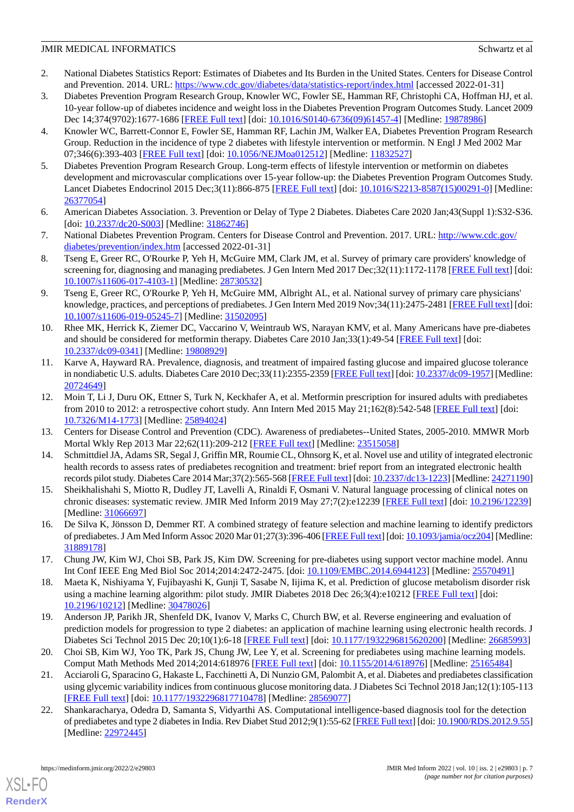- <span id="page-6-0"></span>2. National Diabetes Statistics Report: Estimates of Diabetes and Its Burden in the United States. Centers for Disease Control and Prevention. 2014. URL: <https://www.cdc.gov/diabetes/data/statistics-report/index.html> [accessed 2022-01-31]
- <span id="page-6-1"></span>3. Diabetes Prevention Program Research Group, Knowler WC, Fowler SE, Hamman RF, Christophi CA, Hoffman HJ, et al. 10-year follow-up of diabetes incidence and weight loss in the Diabetes Prevention Program Outcomes Study. Lancet 2009 Dec 14;374(9702):1677-1686 [[FREE Full text\]](http://europepmc.org/abstract/MED/19878986) [doi: [10.1016/S0140-6736\(09\)61457-4](http://dx.doi.org/10.1016/S0140-6736(09)61457-4)] [Medline: [19878986](http://www.ncbi.nlm.nih.gov/entrez/query.fcgi?cmd=Retrieve&db=PubMed&list_uids=19878986&dopt=Abstract)]
- 4. Knowler WC, Barrett-Connor E, Fowler SE, Hamman RF, Lachin JM, Walker EA, Diabetes Prevention Program Research Group. Reduction in the incidence of type 2 diabetes with lifestyle intervention or metformin. N Engl J Med 2002 Mar 07;346(6):393-403 [[FREE Full text](http://europepmc.org/abstract/MED/11832527)] [doi: [10.1056/NEJMoa012512](http://dx.doi.org/10.1056/NEJMoa012512)] [Medline: [11832527](http://www.ncbi.nlm.nih.gov/entrez/query.fcgi?cmd=Retrieve&db=PubMed&list_uids=11832527&dopt=Abstract)]
- <span id="page-6-3"></span>5. Diabetes Prevention Program Research Group. Long-term effects of lifestyle intervention or metformin on diabetes development and microvascular complications over 15-year follow-up: the Diabetes Prevention Program Outcomes Study. Lancet Diabetes Endocrinol 2015 Dec;3(11):866-875 [[FREE Full text](http://europepmc.org/abstract/MED/26377054)] [doi: [10.1016/S2213-8587\(15\)00291-0](http://dx.doi.org/10.1016/S2213-8587(15)00291-0)] [Medline: [26377054](http://www.ncbi.nlm.nih.gov/entrez/query.fcgi?cmd=Retrieve&db=PubMed&list_uids=26377054&dopt=Abstract)]
- <span id="page-6-10"></span>6. American Diabetes Association. 3. Prevention or Delay of Type 2 Diabetes. Diabetes Care 2020 Jan;43(Suppl 1):S32-S36. [doi: <u>[10.2337/dc20-S003](http://dx.doi.org/10.2337/dc20-S003)</u>] [Medline: [31862746](http://www.ncbi.nlm.nih.gov/entrez/query.fcgi?cmd=Retrieve&db=PubMed&list_uids=31862746&dopt=Abstract)]
- <span id="page-6-6"></span>7. National Diabetes Prevention Program. Centers for Disease Control and Prevention. 2017. URL: [http://www.cdc.gov/](http://www.cdc.gov/diabetes/prevention/index.htm) [diabetes/prevention/index.htm](http://www.cdc.gov/diabetes/prevention/index.htm) [accessed 2022-01-31]
- <span id="page-6-7"></span>8. Tseng E, Greer RC, O'Rourke P, Yeh H, McGuire MM, Clark JM, et al. Survey of primary care providers' knowledge of screening for, diagnosing and managing prediabetes. J Gen Intern Med 2017 Dec;32(11):1172-1178 [\[FREE Full text](http://europepmc.org/abstract/MED/28730532)] [doi: [10.1007/s11606-017-4103-1\]](http://dx.doi.org/10.1007/s11606-017-4103-1) [Medline: [28730532](http://www.ncbi.nlm.nih.gov/entrez/query.fcgi?cmd=Retrieve&db=PubMed&list_uids=28730532&dopt=Abstract)]
- 9. Tseng E, Greer RC, O'Rourke P, Yeh H, McGuire MM, Albright AL, et al. National survey of primary care physicians' knowledge, practices, and perceptions of prediabetes. J Gen Intern Med 2019 Nov;34(11):2475-2481 [\[FREE Full text\]](http://europepmc.org/abstract/MED/31502095) [doi: [10.1007/s11606-019-05245-7\]](http://dx.doi.org/10.1007/s11606-019-05245-7) [Medline: [31502095\]](http://www.ncbi.nlm.nih.gov/entrez/query.fcgi?cmd=Retrieve&db=PubMed&list_uids=31502095&dopt=Abstract)
- 10. Rhee MK, Herrick K, Ziemer DC, Vaccarino V, Weintraub WS, Narayan KMV, et al. Many Americans have pre-diabetes and should be considered for metformin therapy. Diabetes Care 2010 Jan;33(1):49-54 [[FREE Full text](http://europepmc.org/abstract/MED/19808929)] [doi: [10.2337/dc09-0341\]](http://dx.doi.org/10.2337/dc09-0341) [Medline: [19808929](http://www.ncbi.nlm.nih.gov/entrez/query.fcgi?cmd=Retrieve&db=PubMed&list_uids=19808929&dopt=Abstract)]
- <span id="page-6-2"></span>11. Karve A, Hayward RA. Prevalence, diagnosis, and treatment of impaired fasting glucose and impaired glucose tolerance in nondiabetic U.S. adults. Diabetes Care 2010 Dec;33(11):2355-2359 [[FREE Full text](http://europepmc.org/abstract/MED/20724649)] [doi: [10.2337/dc09-1957](http://dx.doi.org/10.2337/dc09-1957)] [Medline: [20724649](http://www.ncbi.nlm.nih.gov/entrez/query.fcgi?cmd=Retrieve&db=PubMed&list_uids=20724649&dopt=Abstract)]
- <span id="page-6-5"></span><span id="page-6-4"></span>12. Moin T, Li J, Duru OK, Ettner S, Turk N, Keckhafer A, et al. Metformin prescription for insured adults with prediabetes from 2010 to 2012: a retrospective cohort study. Ann Intern Med 2015 May 21;162(8):542-548 [[FREE Full text](http://europepmc.org/abstract/MED/25894024)] [doi: [10.7326/M14-1773](http://dx.doi.org/10.7326/M14-1773)] [Medline: [25894024\]](http://www.ncbi.nlm.nih.gov/entrez/query.fcgi?cmd=Retrieve&db=PubMed&list_uids=25894024&dopt=Abstract)
- <span id="page-6-8"></span>13. Centers for Disease Control and Prevention (CDC). Awareness of prediabetes--United States, 2005-2010. MMWR Morb Mortal Wkly Rep 2013 Mar 22;62(11):209-212 [[FREE Full text](https://www.cdc.gov/mmwr/preview/mmwrhtml/mm6211a4.htm)] [Medline: [23515058\]](http://www.ncbi.nlm.nih.gov/entrez/query.fcgi?cmd=Retrieve&db=PubMed&list_uids=23515058&dopt=Abstract)
- <span id="page-6-9"></span>14. Schmittdiel JA, Adams SR, Segal J, Griffin MR, Roumie CL, Ohnsorg K, et al. Novel use and utility of integrated electronic health records to assess rates of prediabetes recognition and treatment: brief report from an integrated electronic health records pilot study. Diabetes Care 2014 Mar;37(2):565-568 [[FREE Full text](http://europepmc.org/abstract/MED/24271190)] [doi: [10.2337/dc13-1223\]](http://dx.doi.org/10.2337/dc13-1223) [Medline: [24271190\]](http://www.ncbi.nlm.nih.gov/entrez/query.fcgi?cmd=Retrieve&db=PubMed&list_uids=24271190&dopt=Abstract)
- 15. Sheikhalishahi S, Miotto R, Dudley JT, Lavelli A, Rinaldi F, Osmani V. Natural language processing of clinical notes on chronic diseases: systematic review. JMIR Med Inform 2019 May 27;7(2):e12239 [\[FREE Full text](https://medinform.jmir.org/2019/2/e12239/)] [doi: [10.2196/12239\]](http://dx.doi.org/10.2196/12239) [Medline: [31066697](http://www.ncbi.nlm.nih.gov/entrez/query.fcgi?cmd=Retrieve&db=PubMed&list_uids=31066697&dopt=Abstract)]
- 16. De Silva K, Jönsson D, Demmer RT. A combined strategy of feature selection and machine learning to identify predictors of prediabetes. J Am Med Inform Assoc 2020 Mar 01;27(3):396-406 [[FREE Full text\]](http://europepmc.org/abstract/MED/31889178) [doi: [10.1093/jamia/ocz204\]](http://dx.doi.org/10.1093/jamia/ocz204) [Medline: [31889178](http://www.ncbi.nlm.nih.gov/entrez/query.fcgi?cmd=Retrieve&db=PubMed&list_uids=31889178&dopt=Abstract)]
- 17. Chung JW, Kim WJ, Choi SB, Park JS, Kim DW. Screening for pre-diabetes using support vector machine model. Annu Int Conf IEEE Eng Med Biol Soc 2014;2014:2472-2475. [doi: [10.1109/EMBC.2014.6944123](http://dx.doi.org/10.1109/EMBC.2014.6944123)] [Medline: [25570491](http://www.ncbi.nlm.nih.gov/entrez/query.fcgi?cmd=Retrieve&db=PubMed&list_uids=25570491&dopt=Abstract)]
- 18. Maeta K, Nishiyama Y, Fujibayashi K, Gunji T, Sasabe N, Iijima K, et al. Prediction of glucose metabolism disorder risk using a machine learning algorithm: pilot study. JMIR Diabetes 2018 Dec 26;3(4):e10212 [[FREE Full text](https://diabetes.jmir.org/2018/4/e10212/)] [doi: [10.2196/10212\]](http://dx.doi.org/10.2196/10212) [Medline: [30478026\]](http://www.ncbi.nlm.nih.gov/entrez/query.fcgi?cmd=Retrieve&db=PubMed&list_uids=30478026&dopt=Abstract)
- 19. Anderson JP, Parikh JR, Shenfeld DK, Ivanov V, Marks C, Church BW, et al. Reverse engineering and evaluation of prediction models for progression to type 2 diabetes: an application of machine learning using electronic health records. J Diabetes Sci Technol 2015 Dec 20;10(1):6-18 [\[FREE Full text\]](https://journals.sagepub.com/doi/10.1177/1932296815620200?url_ver=Z39.88-2003&rfr_id=ori:rid:crossref.org&rfr_dat=cr_pub%3dpubmed) [doi: [10.1177/1932296815620200](http://dx.doi.org/10.1177/1932296815620200)] [Medline: [26685993](http://www.ncbi.nlm.nih.gov/entrez/query.fcgi?cmd=Retrieve&db=PubMed&list_uids=26685993&dopt=Abstract)]
- 20. Choi SB, Kim WJ, Yoo TK, Park JS, Chung JW, Lee Y, et al. Screening for prediabetes using machine learning models. Comput Math Methods Med 2014;2014:618976 [[FREE Full text](https://doi.org/10.1155/2014/618976)] [doi: [10.1155/2014/618976](http://dx.doi.org/10.1155/2014/618976)] [Medline: [25165484](http://www.ncbi.nlm.nih.gov/entrez/query.fcgi?cmd=Retrieve&db=PubMed&list_uids=25165484&dopt=Abstract)]
- 21. Acciaroli G, Sparacino G, Hakaste L, Facchinetti A, Di Nunzio GM, Palombit A, et al. Diabetes and prediabetes classification using glycemic variability indices from continuous glucose monitoring data. J Diabetes Sci Technol 2018 Jan;12(1):105-113 [[FREE Full text](http://europepmc.org/abstract/MED/28569077)] [doi: [10.1177/1932296817710478\]](http://dx.doi.org/10.1177/1932296817710478) [Medline: [28569077](http://www.ncbi.nlm.nih.gov/entrez/query.fcgi?cmd=Retrieve&db=PubMed&list_uids=28569077&dopt=Abstract)]
- 22. Shankaracharya, Odedra D, Samanta S, Vidyarthi AS. Computational intelligence-based diagnosis tool for the detection of prediabetes and type 2 diabetes in India. Rev Diabet Stud 2012;9(1):55-62 [\[FREE Full text\]](http://www.soc-bdr.org/content/e4/articlelookup?showfulltext=1&volume=9&firstpage=55) [doi: [10.1900/RDS.2012.9.55\]](http://dx.doi.org/10.1900/RDS.2012.9.55) [Medline: [22972445](http://www.ncbi.nlm.nih.gov/entrez/query.fcgi?cmd=Retrieve&db=PubMed&list_uids=22972445&dopt=Abstract)]

[XSL](http://www.w3.org/Style/XSL)•FO **[RenderX](http://www.renderx.com/)**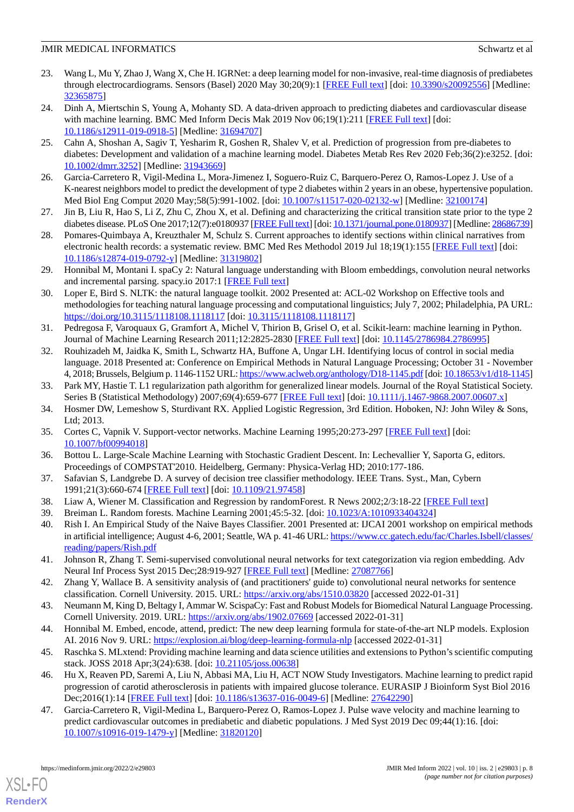- 23. Wang L, Mu Y, Zhao J, Wang X, Che H. IGRNet: a deep learning model for non-invasive, real-time diagnosis of prediabetes through electrocardiograms. Sensors (Basel) 2020 May 30;20(9):1 [\[FREE Full text\]](https://www.mdpi.com/resolver?pii=s20092556) [doi: [10.3390/s20092556\]](http://dx.doi.org/10.3390/s20092556) [Medline: [32365875](http://www.ncbi.nlm.nih.gov/entrez/query.fcgi?cmd=Retrieve&db=PubMed&list_uids=32365875&dopt=Abstract)]
- 24. Dinh A, Miertschin S, Young A, Mohanty SD. A data-driven approach to predicting diabetes and cardiovascular disease with machine learning. BMC Med Inform Decis Mak 2019 Nov 06;19(1):211 [[FREE Full text](https://bmcmedinformdecismak.biomedcentral.com/articles/10.1186/s12911-019-0918-5)] [doi: [10.1186/s12911-019-0918-5\]](http://dx.doi.org/10.1186/s12911-019-0918-5) [Medline: [31694707](http://www.ncbi.nlm.nih.gov/entrez/query.fcgi?cmd=Retrieve&db=PubMed&list_uids=31694707&dopt=Abstract)]
- 25. Cahn A, Shoshan A, Sagiv T, Yesharim R, Goshen R, Shalev V, et al. Prediction of progression from pre-diabetes to diabetes: Development and validation of a machine learning model. Diabetes Metab Res Rev 2020 Feb;36(2):e3252. [doi: [10.1002/dmrr.3252](http://dx.doi.org/10.1002/dmrr.3252)] [Medline: [31943669\]](http://www.ncbi.nlm.nih.gov/entrez/query.fcgi?cmd=Retrieve&db=PubMed&list_uids=31943669&dopt=Abstract)
- <span id="page-7-0"></span>26. Garcia-Carretero R, Vigil-Medina L, Mora-Jimenez I, Soguero-Ruiz C, Barquero-Perez O, Ramos-Lopez J. Use of a K-nearest neighbors model to predict the development of type 2 diabetes within 2 years in an obese, hypertensive population. Med Biol Eng Comput 2020 May;58(5):991-1002. [doi: [10.1007/s11517-020-02132-w\]](http://dx.doi.org/10.1007/s11517-020-02132-w) [Medline: [32100174](http://www.ncbi.nlm.nih.gov/entrez/query.fcgi?cmd=Retrieve&db=PubMed&list_uids=32100174&dopt=Abstract)]
- <span id="page-7-1"></span>27. Jin B, Liu R, Hao S, Li Z, Zhu C, Zhou X, et al. Defining and characterizing the critical transition state prior to the type 2 diabetes disease. PLoS One 2017;12(7):e0180937 [\[FREE Full text\]](https://dx.plos.org/10.1371/journal.pone.0180937) [doi: [10.1371/journal.pone.0180937](http://dx.doi.org/10.1371/journal.pone.0180937)] [Medline: [28686739\]](http://www.ncbi.nlm.nih.gov/entrez/query.fcgi?cmd=Retrieve&db=PubMed&list_uids=28686739&dopt=Abstract)
- <span id="page-7-2"></span>28. Pomares-Quimbaya A, Kreuzthaler M, Schulz S. Current approaches to identify sections within clinical narratives from electronic health records: a systematic review. BMC Med Res Methodol 2019 Jul 18;19(1):155 [[FREE Full text](https://bmcmedresmethodol.biomedcentral.com/articles/10.1186/s12874-019-0792-y)] [doi: [10.1186/s12874-019-0792-y\]](http://dx.doi.org/10.1186/s12874-019-0792-y) [Medline: [31319802](http://www.ncbi.nlm.nih.gov/entrez/query.fcgi?cmd=Retrieve&db=PubMed&list_uids=31319802&dopt=Abstract)]
- <span id="page-7-3"></span>29. Honnibal M, Montani I. spaCy 2: Natural language understanding with Bloom embeddings, convolution neural networks and incremental parsing. spacy.io 2017:1 [[FREE Full text](https://spacy.io/)]
- <span id="page-7-4"></span>30. Loper E, Bird S. NLTK: the natural language toolkit. 2002 Presented at: ACL-02 Workshop on Effective tools and methodologies for teaching natural language processing and computational linguistics; July 7, 2002; Philadelphia, PA URL: <https://doi.org/10.3115/1118108.1118117> [doi: [10.3115/1118108.1118117\]](http://dx.doi.org/10.3115/1118108.1118117)
- <span id="page-7-5"></span>31. Pedregosa F, Varoquaux G, Gramfort A, Michel V, Thirion B, Grisel O, et al. Scikit-learn: machine learning in Python. Journal of Machine Learning Research 2011;12:2825-2830 [\[FREE Full text\]](https://www.jmlr.org/papers/volume12/pedregosa11a/pedregosa11a.pdf) [doi: [10.1145/2786984.2786995\]](http://dx.doi.org/10.1145/2786984.2786995)
- <span id="page-7-6"></span>32. Rouhizadeh M, Jaidka K, Smith L, Schwartz HA, Buffone A, Ungar LH. Identifying locus of control in social media language. 2018 Presented at: Conference on Empirical Methods in Natural Language Processing; October 31 - November 4, 2018; Brussels, Belgium p. 1146-1152 URL:<https://www.aclweb.org/anthology/D18-1145.pdf> [doi: [10.18653/v1/d18-1145\]](http://dx.doi.org/10.18653/v1/d18-1145)
- <span id="page-7-8"></span><span id="page-7-7"></span>33. Park MY, Hastie T. L1 regularization path algorithm for generalized linear models. Journal of the Royal Statistical Society. Series B (Statistical Methodology) 2007;69(4):659-677 [\[FREE Full text](https://www.jstor.org/stable/4623289)] [doi: [10.1111/j.1467-9868.2007.00607.x](http://dx.doi.org/10.1111/j.1467-9868.2007.00607.x)]
- <span id="page-7-9"></span>34. Hosmer DW, Lemeshow S, Sturdivant RX. Applied Logistic Regression, 3rd Edition. Hoboken, NJ: John Wiley & Sons, Ltd; 2013.
- <span id="page-7-10"></span>35. Cortes C, Vapnik V. Support-vector networks. Machine Learning 1995;20:273-297 [\[FREE Full text\]](https://link.springer.com/content/pdf/10.1007/BF00994018.pdf) [doi: [10.1007/bf00994018](http://dx.doi.org/10.1007/bf00994018)]
- <span id="page-7-12"></span><span id="page-7-11"></span>36. Bottou L. Large-Scale Machine Learning with Stochastic Gradient Descent. In: Lechevallier Y, Saporta G, editors. Proceedings of COMPSTAT'2010. Heidelberg, Germany: Physica-Verlag HD; 2010:177-186.
- <span id="page-7-13"></span>37. Safavian S, Landgrebe D. A survey of decision tree classifier methodology. IEEE Trans. Syst., Man, Cybern 1991;21(3):660-674 [[FREE Full text](https://ieeexplore.ieee.org/document/97458)] [doi: [10.1109/21.97458](http://dx.doi.org/10.1109/21.97458)]
- <span id="page-7-14"></span>38. Liaw A, Wiener M. Classification and Regression by randomForest. R News 2002;2/3:18-22 [[FREE Full text](https://cogns.northwestern.edu/cbmg/LiawAndWiener2002.pdf)]
- 39. Breiman L. Random forests. Machine Learning 2001;45:5-32. [doi: [10.1023/A:1010933404324](http://dx.doi.org/10.1023/A:1010933404324)]
- <span id="page-7-15"></span>40. Rish I. An Empirical Study of the Naive Bayes Classifier. 2001 Presented at: IJCAI 2001 workshop on empirical methods in artificial intelligence; August 4-6, 2001; Seattle, WA p. 41-46 URL: [https://www.cc.gatech.edu/fac/Charles.Isbell/classes/](https://www.cc.gatech.edu/fac/Charles.Isbell/classes/reading/papers/Rish.pdf) [reading/papers/Rish.pdf](https://www.cc.gatech.edu/fac/Charles.Isbell/classes/reading/papers/Rish.pdf)
- <span id="page-7-17"></span><span id="page-7-16"></span>41. Johnson R, Zhang T. Semi-supervised convolutional neural networks for text categorization via region embedding. Adv Neural Inf Process Syst 2015 Dec;28:919-927 [\[FREE Full text\]](http://europepmc.org/abstract/MED/27087766) [Medline: [27087766\]](http://www.ncbi.nlm.nih.gov/entrez/query.fcgi?cmd=Retrieve&db=PubMed&list_uids=27087766&dopt=Abstract)
- <span id="page-7-18"></span>42. Zhang Y, Wallace B. A sensitivity analysis of (and practitioners' guide to) convolutional neural networks for sentence classification. Cornell University. 2015. URL:<https://arxiv.org/abs/1510.03820> [accessed 2022-01-31]
- <span id="page-7-19"></span>43. Neumann M, King D, Beltagy I, Ammar W. ScispaCy: Fast and Robust Models for Biomedical Natural Language Processing. Cornell University. 2019. URL: <https://arxiv.org/abs/1902.07669> [accessed 2022-01-31]
- 44. Honnibal M. Embed, encode, attend, predict: The new deep learning formula for state-of-the-art NLP models. Explosion AI. 2016 Nov 9. URL:<https://explosion.ai/blog/deep-learning-formula-nlp> [accessed 2022-01-31]
- 45. Raschka S. MLxtend: Providing machine learning and data science utilities and extensions to Python's scientific computing stack. JOSS 2018 Apr;3(24):638. [doi: [10.21105/joss.00638\]](http://dx.doi.org/10.21105/joss.00638)
- 46. Hu X, Reaven PD, Saremi A, Liu N, Abbasi MA, Liu H, ACT NOW Study Investigators. Machine learning to predict rapid progression of carotid atherosclerosis in patients with impaired glucose tolerance. EURASIP J Bioinform Syst Biol 2016 Dec;2016(1):14 [[FREE Full text](https://dx.doi.org/10.1186/s13637-016-0049-6)] [doi: [10.1186/s13637-016-0049-6\]](http://dx.doi.org/10.1186/s13637-016-0049-6) [Medline: [27642290](http://www.ncbi.nlm.nih.gov/entrez/query.fcgi?cmd=Retrieve&db=PubMed&list_uids=27642290&dopt=Abstract)]
- 47. Garcia-Carretero R, Vigil-Medina L, Barquero-Perez O, Ramos-Lopez J. Pulse wave velocity and machine learning to predict cardiovascular outcomes in prediabetic and diabetic populations. J Med Syst 2019 Dec 09;44(1):16. [doi: [10.1007/s10916-019-1479-y\]](http://dx.doi.org/10.1007/s10916-019-1479-y) [Medline: [31820120](http://www.ncbi.nlm.nih.gov/entrez/query.fcgi?cmd=Retrieve&db=PubMed&list_uids=31820120&dopt=Abstract)]

[XSL](http://www.w3.org/Style/XSL)•FO **[RenderX](http://www.renderx.com/)**